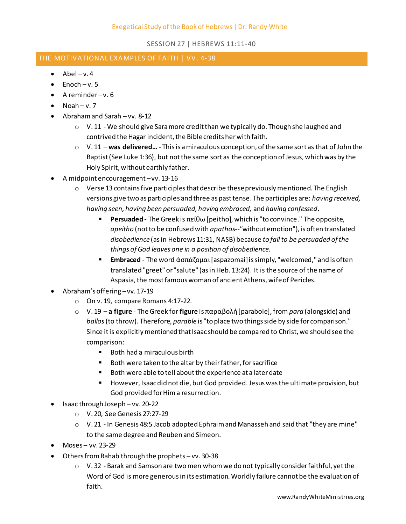## SESSION 27 | HEBREWS 11:11-40

## THE MOTIVATIONAL EXAMPLES OF FAITH | VV. 4-38

- $\bullet$  Abel v. 4
- $\bullet$  Enoch v. 5
- $\bullet$  A reminder-v. 6
- $\bullet$  Noah v. 7
- Abraham and Sarah vv. 8-12
	- $\circ$  V. 11 We should give Sara more credit than we typically do. Though she laughed and contrived the Hagar incident, the Bible credits her with faith.
	- o V. 11 **was delivered…** This is a miraculous conception, of the same sort as that of John the Baptist (See Luke 1:36), but not the same sort as the conception of Jesus, which was by the Holy Spirit, without earthly father.
- A midpoint encouragement –vv. 13-16
	- $\circ$  Verse 13 contains five participles that describe these previously mentioned. The English versions give two as participles and three as past tense. The participles are: *having received, having seen, having been persuaded, having embraced,* and *having confessed*.
		- **Persuaded -** The Greek is πείθω [peitho], which is "to convince." The opposite, *apeitho* (not to be confused with *apathos--"*without emotion"), is often translated *disobedience* (as in Hebrews 11:31, NASB) because *to fail to be persuaded of the things of God leaves one in a position of disobedience.*
		- **Embraced**  The word ἀσπάζομαι [aspazomai] is simply, "welcomed," and is often translated "greet" or "salute" (as in Heb. 13:24). It is the source of the name of Aspasia, the most famous woman of ancient Athens, wife of Pericles.
- Abraham's offering –vv. 17-19
	- o On v. 19, compare Romans 4:17-22.
	- o V. 19 **a figure** The Greek for **figure** is παραβολή [parabole], from *para* (alongside) and *ballos* (to throw). Therefore, *parable* is "to place two things side by side for comparison." Since it is explicitly mentioned that Isaac should be compared to Christ, we should see the comparison:
		- Both had a miraculous birth
		- Both were taken to the altar by their father, for sacrifice
		- Both were able to tell about the experience at a later date
		- However, Isaac did not die, but God provided. Jesus was the ultimate provision, but God provided for Him a resurrection.
- Isaac through Joseph vv. 20-22
	- o V. 20, See Genesis 27:27-29
	- o V. 21 In Genesis 48:5 Jacob adopted Ephraim and Manasseh and said that "they are mine" to the same degree and Reuben and Simeon.
- Moses vv. 23-29
- Others from Rahab through the prophets vv. 30-38
	- $\circ$  V.32 Barak and Samson are two men whom we do not typically consider faithful, yet the Word of God is more generous in its estimation. Worldly failure cannot be the evaluation of faith.